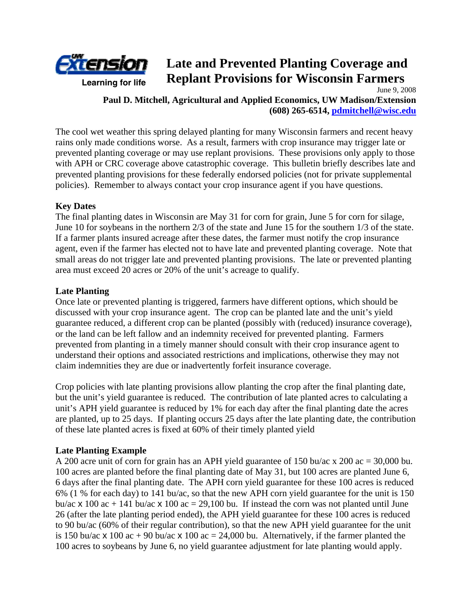

# **Late and Prevented Planting Coverage and Replant Provisions for Wisconsin Farmers**  June 9, 2008

**Paul D. Mitchell, Agricultural and Applied Economics, UW Madison/Extension (608) 265-6514, pdmitchell@wisc.edu** 

The cool wet weather this spring delayed planting for many Wisconsin farmers and recent heavy rains only made conditions worse. As a result, farmers with crop insurance may trigger late or prevented planting coverage or may use replant provisions. These provisions only apply to those with APH or CRC coverage above catastrophic coverage. This bulletin briefly describes late and prevented planting provisions for these federally endorsed policies (not for private supplemental policies). Remember to always contact your crop insurance agent if you have questions.

### **Key Dates**

The final planting dates in Wisconsin are May 31 for corn for grain, June 5 for corn for silage, June 10 for soybeans in the northern 2/3 of the state and June 15 for the southern 1/3 of the state. If a farmer plants insured acreage after these dates, the farmer must notify the crop insurance agent, even if the farmer has elected not to have late and prevented planting coverage. Note that small areas do not trigger late and prevented planting provisions. The late or prevented planting area must exceed 20 acres or 20% of the unit's acreage to qualify.

### **Late Planting**

Once late or prevented planting is triggered, farmers have different options, which should be discussed with your crop insurance agent. The crop can be planted late and the unit's yield guarantee reduced, a different crop can be planted (possibly with (reduced) insurance coverage), or the land can be left fallow and an indemnity received for prevented planting. Farmers prevented from planting in a timely manner should consult with their crop insurance agent to understand their options and associated restrictions and implications, otherwise they may not claim indemnities they are due or inadvertently forfeit insurance coverage.

Crop policies with late planting provisions allow planting the crop after the final planting date, but the unit's yield guarantee is reduced. The contribution of late planted acres to calculating a unit's APH yield guarantee is reduced by 1% for each day after the final planting date the acres are planted, up to 25 days. If planting occurs 25 days after the late planting date, the contribution of these late planted acres is fixed at 60% of their timely planted yield

## **Late Planting Example**

A 200 acre unit of corn for grain has an APH yield guarantee of 150 bu/ac x 200 ac = 30,000 bu. 100 acres are planted before the final planting date of May 31, but 100 acres are planted June 6, 6 days after the final planting date. The APH corn yield guarantee for these 100 acres is reduced 6% (1 % for each day) to 141 bu/ac, so that the new APH corn yield guarantee for the unit is 150 bu/ac  $\times$  100 ac + 141 bu/ac  $\times$  100 ac = 29,100 bu. If instead the corn was not planted until June 26 (after the late planting period ended), the APH yield guarantee for these 100 acres is reduced to 90 bu/ac (60% of their regular contribution), so that the new APH yield guarantee for the unit is 150 bu/ac  $\times$  100 ac + 90 bu/ac  $\times$  100 ac = 24,000 bu. Alternatively, if the farmer planted the 100 acres to soybeans by June 6, no yield guarantee adjustment for late planting would apply.